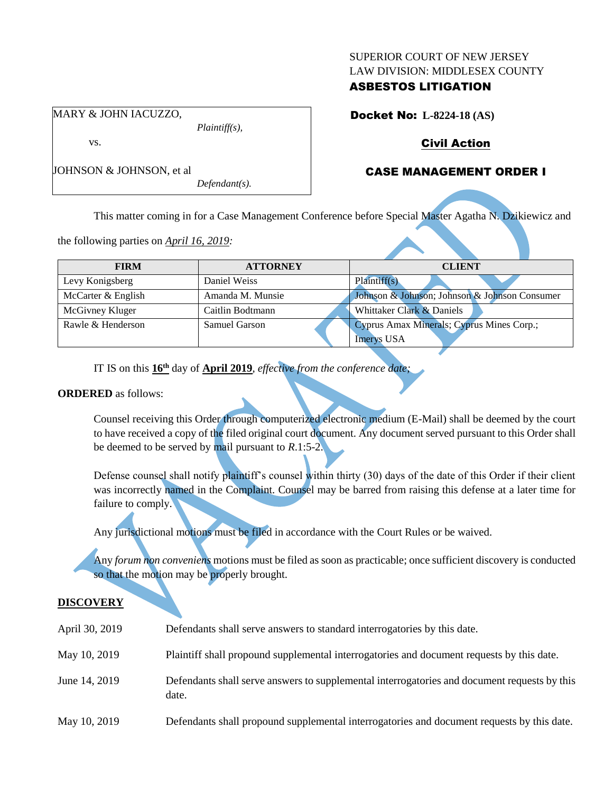#### SUPERIOR COURT OF NEW JERSEY LAW DIVISION: MIDDLESEX COUNTY

## ASBESTOS LITIGATION

Docket No: **L-8224-18 (AS)**

# Civil Action

# CASE MANAGEMENT ORDER I

This matter coming in for a Case Management Conference before Special Master Agatha N. Dzikiewicz and

the following parties on *April 16, 2019:*

| <b>FIRM</b>        | <b>ATTORNEY</b>  | <b>CLIENT</b>                                 |
|--------------------|------------------|-----------------------------------------------|
| Levy Konigsberg    | Daniel Weiss     | Plaintiff(s)                                  |
| McCarter & English | Amanda M. Munsie | Johnson & Johnson; Johnson & Johnson Consumer |
| McGivney Kluger    | Caitlin Bodtmann | Whittaker Clark & Daniels                     |
| Rawle & Henderson  | Samuel Garson    | Cyprus Amax Minerals; Cyprus Mines Corp.;     |
|                    |                  | <b>Imerys USA</b>                             |

IT IS on this **16th** day of **April 2019**, *effective from the conference date;*

*Plaintiff(s),*

*Defendant(s).*

#### **ORDERED** as follows:

Counsel receiving this Order through computerized electronic medium (E-Mail) shall be deemed by the court to have received a copy of the filed original court document. Any document served pursuant to this Order shall be deemed to be served by mail pursuant to *R*.1:5-2.

Defense counsel shall notify plaintiff's counsel within thirty (30) days of the date of this Order if their client was incorrectly named in the Complaint. Counsel may be barred from raising this defense at a later time for failure to comply.

Any jurisdictional motions must be filed in accordance with the Court Rules or be waived.

Any *forum non conveniens* motions must be filed as soon as practicable; once sufficient discovery is conducted so that the motion may be properly brought.

#### **DISCOVERY**

| April 30, 2019 | Defendants shall serve answers to standard interrogatories by this date.                              |
|----------------|-------------------------------------------------------------------------------------------------------|
| May 10, 2019   | Plaintiff shall propound supplemental interrogatories and document requests by this date.             |
| June 14, 2019  | Defendants shall serve answers to supplemental interrogatories and document requests by this<br>date. |
| May 10, 2019   | Defendants shall propound supplemental interrogatories and document requests by this date.            |

MARY & JOHN IACUZZO,

JOHNSON & JOHNSON, et al

vs.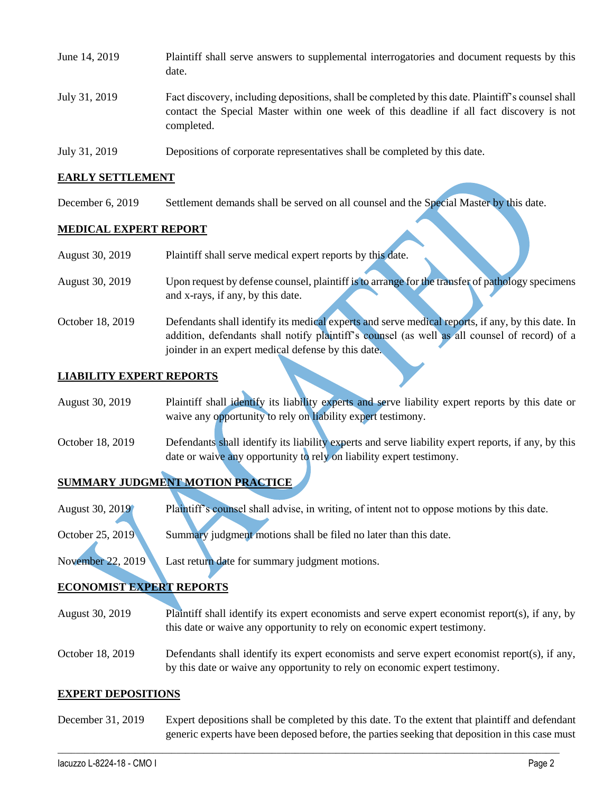| June 14, 2019 | Plaintiff shall serve answers to supplemental interrogatories and document requests by this<br>date.                                                                                                        |
|---------------|-------------------------------------------------------------------------------------------------------------------------------------------------------------------------------------------------------------|
| July 31, 2019 | Fact discovery, including depositions, shall be completed by this date. Plaintiff's counsel shall<br>contact the Special Master within one week of this deadline if all fact discovery is not<br>completed. |
| July 31, 2019 | Depositions of corporate representatives shall be completed by this date.                                                                                                                                   |

#### **EARLY SETTLEMENT**

December 6, 2019 Settlement demands shall be served on all counsel and the Special Master by this date.

#### **MEDICAL EXPERT REPORT**

| August 30, 2019  | Plaintiff shall serve medical expert reports by this date.                                        |
|------------------|---------------------------------------------------------------------------------------------------|
| August 30, 2019  | Upon request by defense counsel, plaintiff is to arrange for the transfer of pathology specimens  |
|                  | and x-rays, if any, by this date.                                                                 |
| October 18, 2019 | Defendants shall identify its medical experts and serve medical reports, if any, by this date. In |
|                  | addition, defendants shall notify plaintiff's counsel (as well as all counsel of record) of a     |
|                  | joinder in an expert medical defense by this date.                                                |

#### **LIABILITY EXPERT REPORTS**

| August 30, 2019 | Plaintiff shall identify its liability experts and serve liability expert reports by this date or |  |  |  |  |
|-----------------|---------------------------------------------------------------------------------------------------|--|--|--|--|
|                 | waive any opportunity to rely on liability expert testimony.                                      |  |  |  |  |

October 18, 2019 Defendants shall identify its liability experts and serve liability expert reports, if any, by this date or waive any opportunity to rely on liability expert testimony.

## **SUMMARY JUDGMENT MOTION PRACTICE**

August 30, 2019 Plaintiff's counsel shall advise, in writing, of intent not to oppose motions by this date.

October 25, 2019 Summary judgment motions shall be filed no later than this date.

November 22, 2019 Last return date for summary judgment motions.

## **ECONOMIST EXPERT REPORTS**

- August 30, 2019 Plaintiff shall identify its expert economists and serve expert economist report(s), if any, by this date or waive any opportunity to rely on economic expert testimony.
- October 18, 2019 Defendants shall identify its expert economists and serve expert economist report(s), if any, by this date or waive any opportunity to rely on economic expert testimony.

## **EXPERT DEPOSITIONS**

December 31, 2019 Expert depositions shall be completed by this date. To the extent that plaintiff and defendant generic experts have been deposed before, the parties seeking that deposition in this case must

 $\_$  , and the set of the set of the set of the set of the set of the set of the set of the set of the set of the set of the set of the set of the set of the set of the set of the set of the set of the set of the set of th